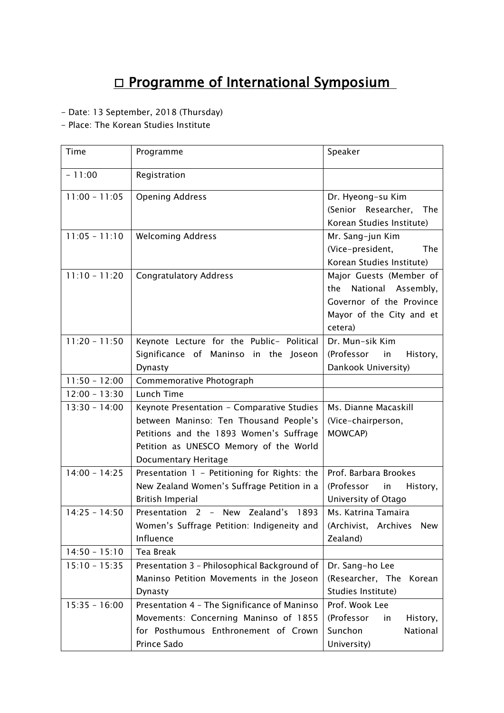## □ Programme of International Symposium

- Date: 13 September, 2018 (Thursday)

- Place: The Korean Studies Institute

| Time            | Programme                                                                                                                                                                                         | Speaker                                                                                                                 |
|-----------------|---------------------------------------------------------------------------------------------------------------------------------------------------------------------------------------------------|-------------------------------------------------------------------------------------------------------------------------|
| $-11:00$        | Registration                                                                                                                                                                                      |                                                                                                                         |
| $11:00 - 11:05$ | <b>Opening Address</b>                                                                                                                                                                            | Dr. Hyeong-su Kim<br>(Senior Researcher,<br>The<br>Korean Studies Institute)                                            |
| $11:05 - 11:10$ | <b>Welcoming Address</b>                                                                                                                                                                          | Mr. Sang-jun Kim<br>(Vice-president,<br><b>The</b><br>Korean Studies Institute)                                         |
| $11:10 - 11:20$ | <b>Congratulatory Address</b>                                                                                                                                                                     | Major Guests (Member of<br>National Assembly,<br>the<br>Governor of the Province<br>Mayor of the City and et<br>cetera) |
| $11:20 - 11:50$ | Keynote Lecture for the Public- Political<br>Significance of Maninso in the Joseon<br>Dynasty                                                                                                     | Dr. Mun-sik Kim<br>(Professor<br>in<br>History,<br>Dankook University)                                                  |
| $11:50 - 12:00$ | Commemorative Photograph                                                                                                                                                                          |                                                                                                                         |
| $12:00 - 13:30$ | Lunch Time                                                                                                                                                                                        |                                                                                                                         |
| $13:30 - 14:00$ | Keynote Presentation - Comparative Studies<br>between Maninso: Ten Thousand People's<br>Petitions and the 1893 Women's Suffrage<br>Petition as UNESCO Memory of the World<br>Documentary Heritage | Ms. Dianne Macaskill<br>(Vice-chairperson,<br>MOWCAP)                                                                   |
| $14:00 - 14:25$ | Presentation 1 - Petitioning for Rights: the<br>New Zealand Women's Suffrage Petition in a<br><b>British Imperial</b>                                                                             | Prof. Barbara Brookes<br>(Professor in<br>History,<br>University of Otago                                               |
| $14:25 - 14:50$ | Presentation 2 - New Zealand's 1893<br>Women's Suffrage Petition: Indigeneity and<br>Influence                                                                                                    | Ms. Katrina Tamaira<br>(Archivist, Archives<br>New<br>Zealand)                                                          |
| $14:50 - 15:10$ | Tea Break                                                                                                                                                                                         |                                                                                                                         |
| $15:10 - 15:35$ | Presentation 3 - Philosophical Background of<br>Maninso Petition Movements in the Joseon<br>Dynasty                                                                                               | Dr. Sang-ho Lee<br>(Researcher, The Korean<br>Studies Institute)                                                        |
| $15:35 - 16:00$ | Presentation 4 - The Significance of Maninso<br>Movements: Concerning Maninso of 1855<br>for Posthumous Enthronement of Crown<br>Prince Sado                                                      | Prof. Wook Lee<br>(Professor<br>History,<br>in<br>Sunchon<br>National<br>University)                                    |